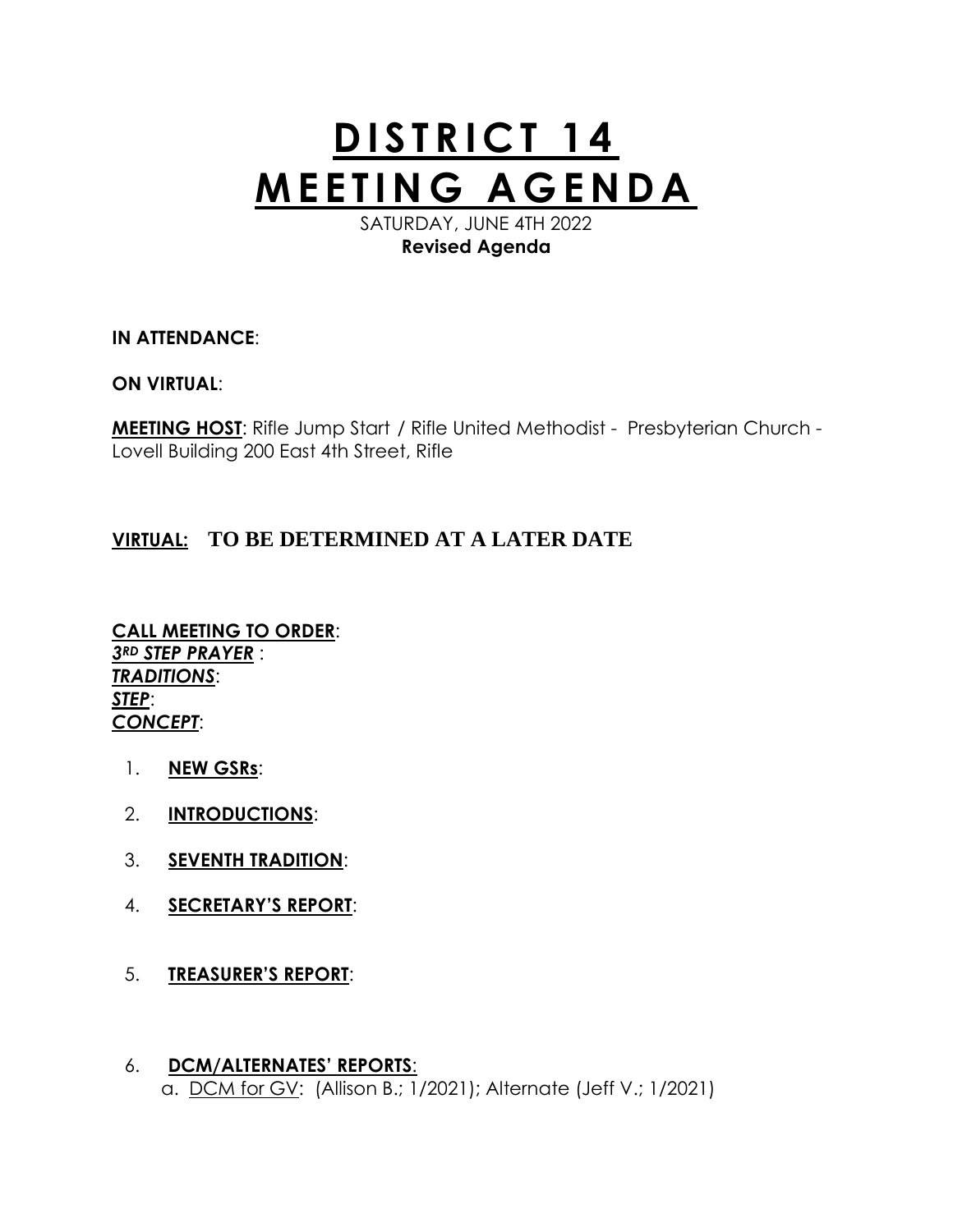# **DISTRICT 14 M E E T I N G A G E N D A**

SATURDAY, JUNE 4TH 2022 **Revised Agenda**

### **IN ATTENDANCE**:

#### **ON VIRTUAL**:

**MEETING HOST**: Rifle Jump Start / Rifle United Methodist - Presbyterian Church - Lovell Building 200 East 4th Street, Rifle

## **VIRTUAL: TO BE DETERMINED AT A LATER DATE**

**CALL MEETING TO ORDER**: *3RD STEP PRAYER* : *TRADITIONS*: *STEP*: *CONCEPT*:

- 1. **NEW GSRs**:
- 2. **INTRODUCTIONS**:
- 3. **SEVENTH TRADITION**:
- 4. **SECRETARY'S REPORT**:
- 5. **TREASURER'S REPORT**:
- 6. **DCM/ALTERNATES' REPORTS**: a. DCM for GV: (Allison B.; 1/2021); Alternate (Jeff V.; 1/2021)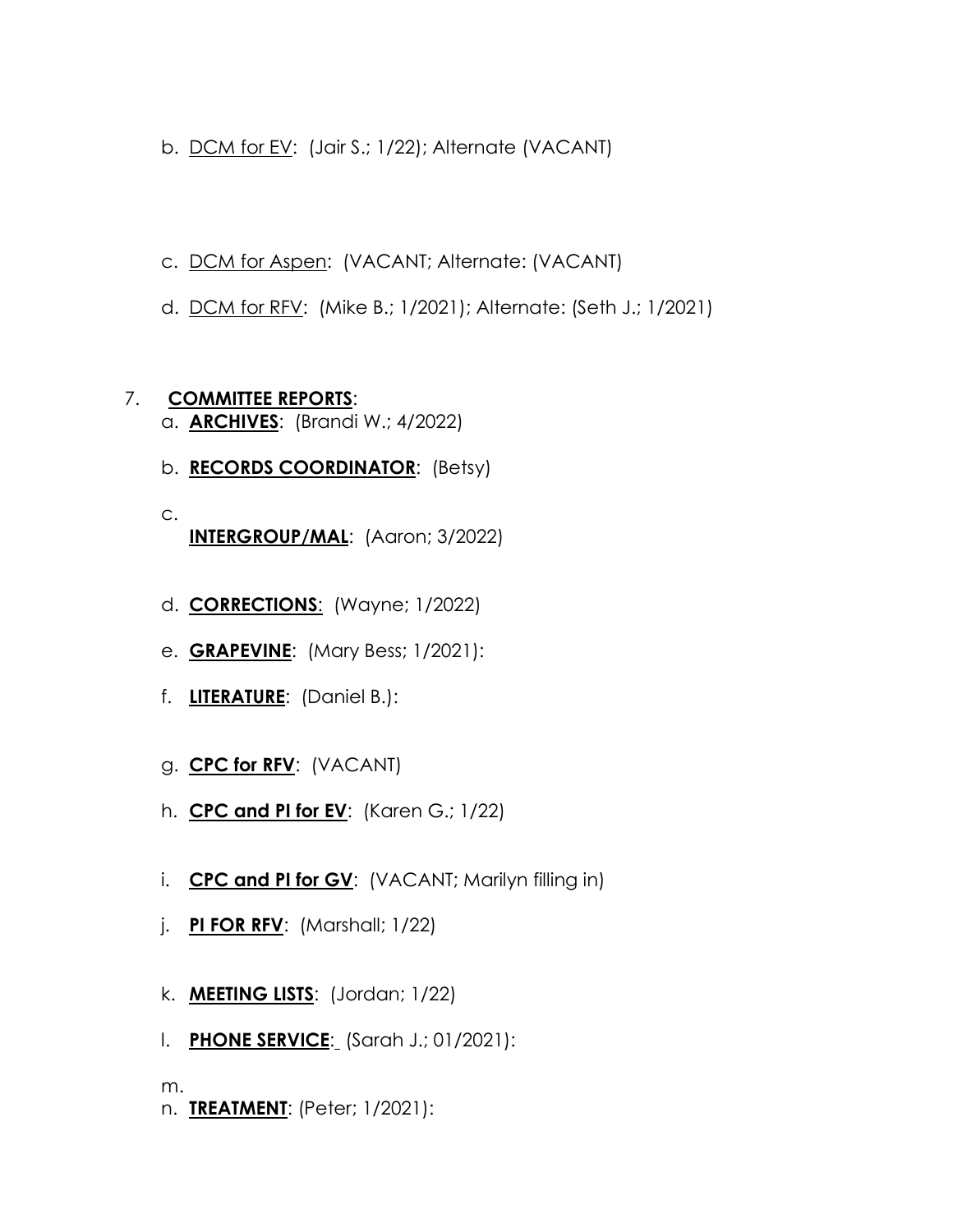- b. DCM for EV: (Jair S.; 1/22); Alternate (VACANT)
- c. DCM for Aspen: (VACANT; Alternate: (VACANT)
- d. DCM for RFV: (Mike B.; 1/2021); Alternate: (Seth J.; 1/2021)

#### 7. **COMMITTEE REPORTS**: a. **ARCHIVES**: (Brandi W.; 4/2022)

- b. **RECORDS COORDINATOR**: (Betsy)
- c. **INTERGROUP/MAL**: (Aaron; 3/2022)
- d. **CORRECTIONS**: (Wayne; 1/2022)
- e. **GRAPEVINE**: (Mary Bess; 1/2021):
- f. **LITERATURE**: (Daniel B.):
- g. **CPC for RFV**: (VACANT)
- h. **CPC and PI for EV**: (Karen G.; 1/22)
- i. **CPC and PI for GV**: (VACANT; Marilyn filling in)
- j. **PI FOR RFV**: (Marshall; 1/22)
- k. **MEETING LISTS**: (Jordan; 1/22)
- l. **PHONE SERVICE**: (Sarah J.; 01/2021):

m.

n. **TREATMENT**: (Peter; 1/2021):